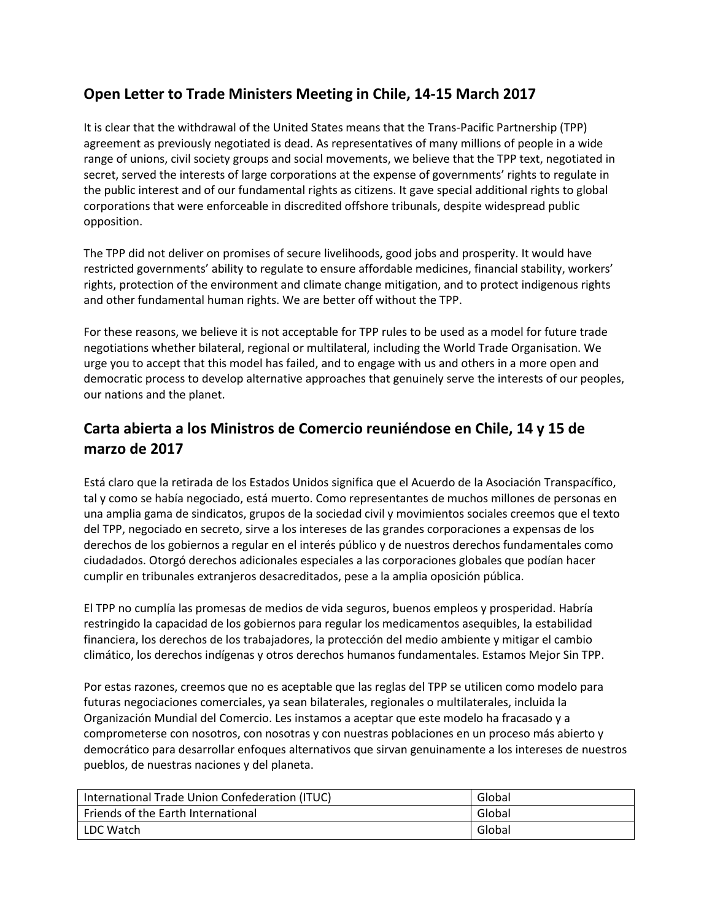## **Open Letter to Trade Ministers Meeting in Chile, 14-15 March 2017**

It is clear that the withdrawal of the United States means that the Trans-Pacific Partnership (TPP) agreement as previously negotiated is dead. As representatives of many millions of people in a wide range of unions, civil society groups and social movements, we believe that the TPP text, negotiated in secret, served the interests of large corporations at the expense of governments' rights to regulate in the public interest and of our fundamental rights as citizens. It gave special additional rights to global corporations that were enforceable in discredited offshore tribunals, despite widespread public opposition.

The TPP did not deliver on promises of secure livelihoods, good jobs and prosperity. It would have restricted governments' ability to regulate to ensure affordable medicines, financial stability, workers' rights, protection of the environment and climate change mitigation, and to protect indigenous rights and other fundamental human rights. We are better off without the TPP.

For these reasons, we believe it is not acceptable for TPP rules to be used as a model for future trade negotiations whether bilateral, regional or multilateral, including the World Trade Organisation. We urge you to accept that this model has failed, and to engage with us and others in a more open and democratic process to develop alternative approaches that genuinely serve the interests of our peoples, our nations and the planet.

## **Carta abierta a los Ministros de Comercio reuniéndose en Chile, 14 y 15 de marzo de 2017**

Está claro que la retirada de los Estados Unidos significa que el Acuerdo de la Asociación Transpacífico, tal y como se había negociado, está muerto. Como representantes de muchos millones de personas en una amplia gama de sindicatos, grupos de la sociedad civil y movimientos sociales creemos que el texto del TPP, negociado en secreto, sirve a los intereses de las grandes corporaciones a expensas de los derechos de los gobiernos a regular en el interés público y de nuestros derechos fundamentales como ciudadados. Otorgó derechos adicionales especiales a las corporaciones globales que podían hacer cumplir en tribunales extranjeros desacreditados, pese a la amplia oposición pública.

El TPP no cumplía las promesas de medios de vida seguros, buenos empleos y prosperidad. Habría restringido la capacidad de los gobiernos para regular los medicamentos asequibles, la estabilidad financiera, los derechos de los trabajadores, la protección del medio ambiente y mitigar el cambio climático, los derechos indígenas y otros derechos humanos fundamentales. Estamos Mejor Sin TPP.

Por estas razones, creemos que no es aceptable que las reglas del TPP se utilicen como modelo para futuras negociaciones comerciales, ya sean bilaterales, regionales o multilaterales, incluida la Organización Mundial del Comercio. Les instamos a aceptar que este modelo ha fracasado y a comprometerse con nosotros, con nosotras y con nuestras poblaciones en un proceso más abierto y democrático para desarrollar enfoques alternativos que sirvan genuinamente a los intereses de nuestros pueblos, de nuestras naciones y del planeta.

| International Trade Union Confederation (ITUC) | Global |
|------------------------------------------------|--------|
| Friends of the Earth International             | Global |
| LDC Watch                                      | Global |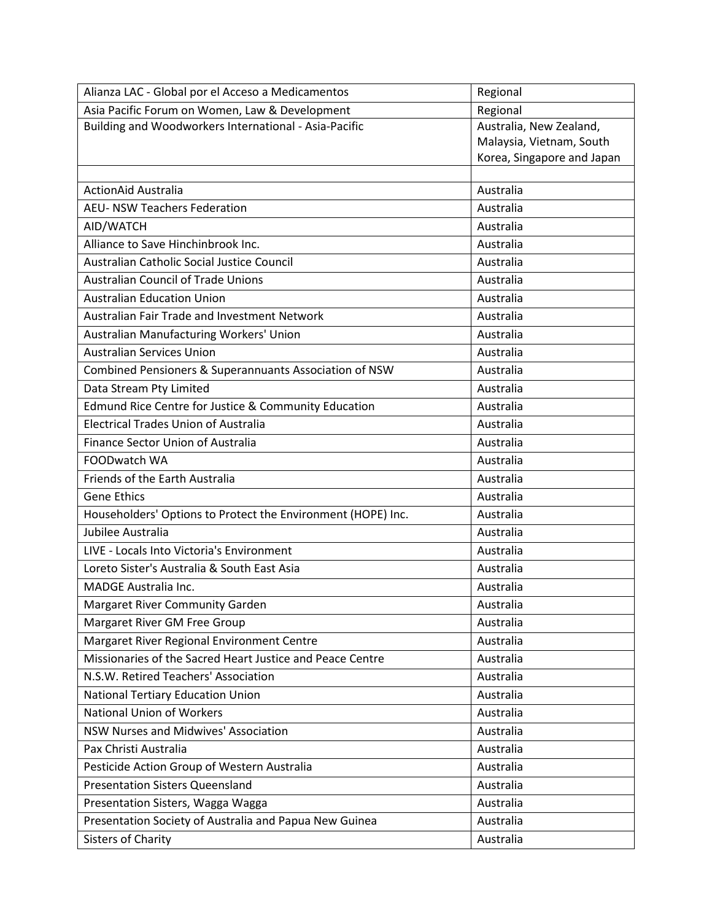| Alianza LAC - Global por el Acceso a Medicamentos            | Regional                   |
|--------------------------------------------------------------|----------------------------|
| Asia Pacific Forum on Women, Law & Development               | Regional                   |
| Building and Woodworkers International - Asia-Pacific        | Australia, New Zealand,    |
|                                                              | Malaysia, Vietnam, South   |
|                                                              | Korea, Singapore and Japan |
| <b>ActionAid Australia</b>                                   | Australia                  |
| <b>AEU- NSW Teachers Federation</b>                          | Australia                  |
| AID/WATCH                                                    | Australia                  |
| Alliance to Save Hinchinbrook Inc.                           | Australia                  |
|                                                              | Australia                  |
| Australian Catholic Social Justice Council                   |                            |
| <b>Australian Council of Trade Unions</b>                    | Australia                  |
| <b>Australian Education Union</b>                            | Australia                  |
| Australian Fair Trade and Investment Network                 | Australia                  |
| Australian Manufacturing Workers' Union                      | Australia                  |
| <b>Australian Services Union</b>                             | Australia                  |
| Combined Pensioners & Superannuants Association of NSW       | Australia                  |
| Data Stream Pty Limited                                      | Australia                  |
| Edmund Rice Centre for Justice & Community Education         | Australia                  |
| <b>Electrical Trades Union of Australia</b>                  | Australia                  |
| Finance Sector Union of Australia                            | Australia                  |
| FOODwatch WA                                                 | Australia                  |
| Friends of the Earth Australia                               | Australia                  |
| <b>Gene Ethics</b>                                           | Australia                  |
| Householders' Options to Protect the Environment (HOPE) Inc. | Australia                  |
| Jubilee Australia                                            | Australia                  |
| LIVE - Locals Into Victoria's Environment                    | Australia                  |
| Loreto Sister's Australia & South East Asia                  | Australia                  |
| <b>MADGE Australia Inc.</b>                                  | Australia                  |
| Margaret River Community Garden                              | Australia                  |
| Margaret River GM Free Group                                 | Australia                  |
| Margaret River Regional Environment Centre                   | Australia                  |
| Missionaries of the Sacred Heart Justice and Peace Centre    | Australia                  |
| N.S.W. Retired Teachers' Association                         | Australia                  |
| National Tertiary Education Union                            | Australia                  |
| <b>National Union of Workers</b>                             | Australia                  |
| NSW Nurses and Midwives' Association                         | Australia                  |
| Pax Christi Australia                                        | Australia                  |
| Pesticide Action Group of Western Australia                  | Australia                  |
| <b>Presentation Sisters Queensland</b>                       | Australia                  |
| Presentation Sisters, Wagga Wagga                            | Australia                  |
| Presentation Society of Australia and Papua New Guinea       | Australia                  |
| <b>Sisters of Charity</b>                                    | Australia                  |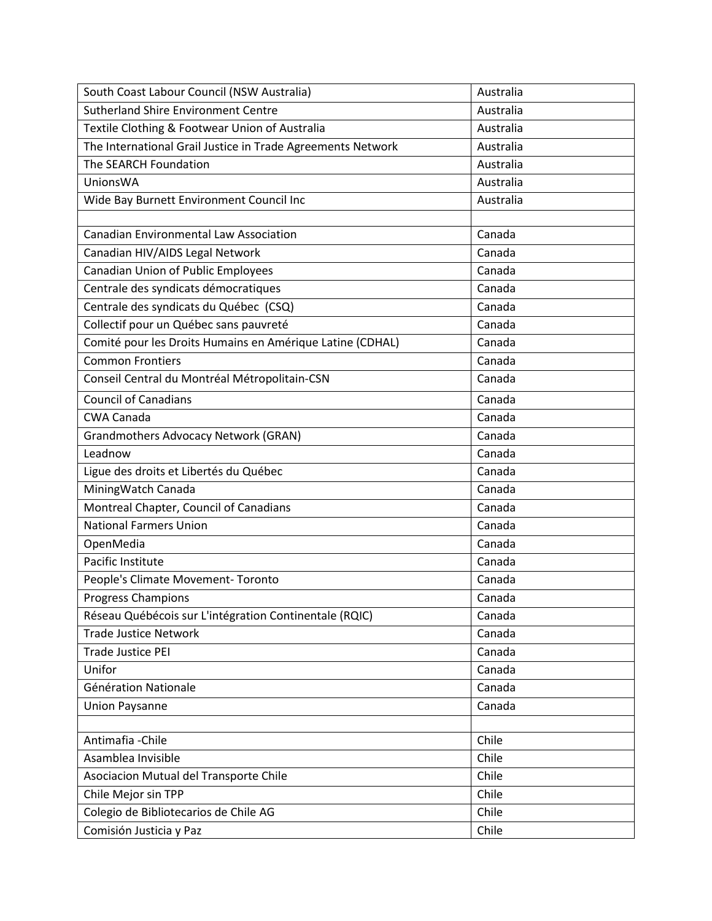| South Coast Labour Council (NSW Australia)                  | Australia |
|-------------------------------------------------------------|-----------|
| <b>Sutherland Shire Environment Centre</b>                  | Australia |
| Textile Clothing & Footwear Union of Australia              | Australia |
| The International Grail Justice in Trade Agreements Network | Australia |
| The SEARCH Foundation                                       | Australia |
| <b>UnionsWA</b>                                             | Australia |
| Wide Bay Burnett Environment Council Inc                    | Australia |
|                                                             |           |
| <b>Canadian Environmental Law Association</b>               | Canada    |
| Canadian HIV/AIDS Legal Network                             | Canada    |
| Canadian Union of Public Employees                          | Canada    |
| Centrale des syndicats démocratiques                        | Canada    |
| Centrale des syndicats du Québec (CSQ)                      | Canada    |
| Collectif pour un Québec sans pauvreté                      | Canada    |
| Comité pour les Droits Humains en Amérique Latine (CDHAL)   | Canada    |
| <b>Common Frontiers</b>                                     | Canada    |
| Conseil Central du Montréal Métropolitain-CSN               | Canada    |
| <b>Council of Canadians</b>                                 | Canada    |
| <b>CWA Canada</b>                                           | Canada    |
| <b>Grandmothers Advocacy Network (GRAN)</b>                 | Canada    |
| Leadnow                                                     | Canada    |
| Ligue des droits et Libertés du Québec                      | Canada    |
| MiningWatch Canada                                          | Canada    |
| Montreal Chapter, Council of Canadians                      | Canada    |
| <b>National Farmers Union</b>                               | Canada    |
| OpenMedia                                                   | Canada    |
| Pacific Institute                                           | Canada    |
| People's Climate Movement-Toronto                           | Canada    |
| <b>Progress Champions</b>                                   | Canada    |
| Réseau Québécois sur L'intégration Continentale (RQIC)      | Canada    |
| <b>Trade Justice Network</b>                                | Canada    |
| <b>Trade Justice PEI</b>                                    | Canada    |
| Unifor                                                      | Canada    |
| Génération Nationale                                        | Canada    |
| <b>Union Paysanne</b>                                       | Canada    |
|                                                             |           |
| Antimafia - Chile                                           | Chile     |
| Asamblea Invisible                                          | Chile     |
| Asociacion Mutual del Transporte Chile                      | Chile     |
| Chile Mejor sin TPP                                         | Chile     |
| Colegio de Bibliotecarios de Chile AG                       | Chile     |
| Comisión Justicia y Paz                                     | Chile     |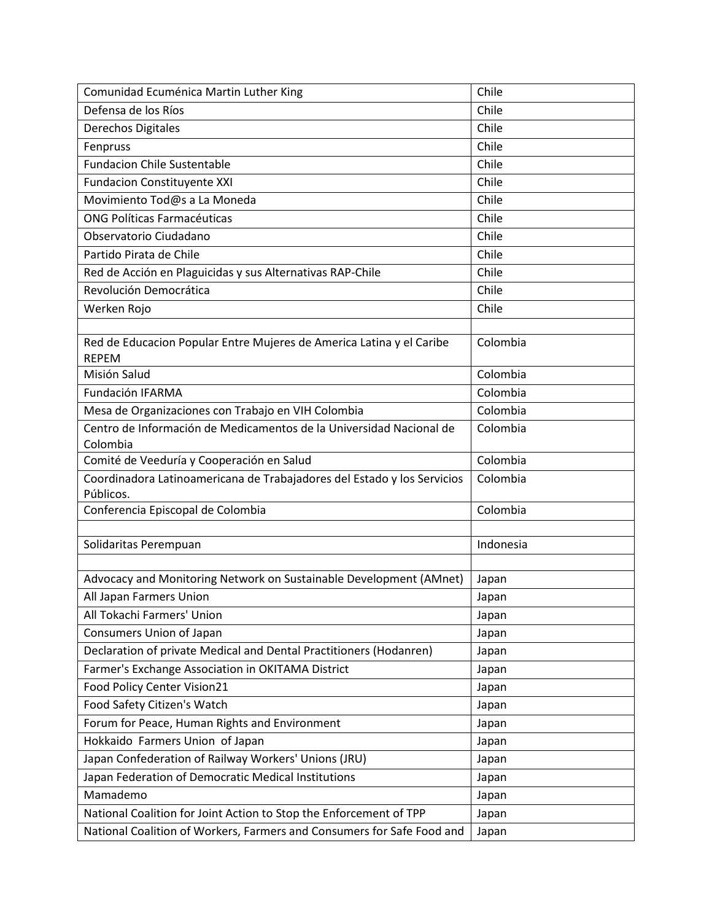| Comunidad Ecuménica Martin Luther King                                               | Chile     |
|--------------------------------------------------------------------------------------|-----------|
| Defensa de los Ríos                                                                  | Chile     |
| Derechos Digitales                                                                   | Chile     |
| Fenpruss                                                                             | Chile     |
| <b>Fundacion Chile Sustentable</b>                                                   | Chile     |
| <b>Fundacion Constituyente XXI</b>                                                   | Chile     |
| Movimiento Tod@s a La Moneda                                                         | Chile     |
| <b>ONG Políticas Farmacéuticas</b>                                                   | Chile     |
| Observatorio Ciudadano                                                               | Chile     |
| Partido Pirata de Chile                                                              | Chile     |
| Red de Acción en Plaguicidas y sus Alternativas RAP-Chile                            | Chile     |
| Revolución Democrática                                                               | Chile     |
| Werken Rojo                                                                          | Chile     |
|                                                                                      |           |
| Red de Educacion Popular Entre Mujeres de America Latina y el Caribe<br><b>REPEM</b> | Colombia  |
| Misión Salud                                                                         | Colombia  |
| Fundación IFARMA                                                                     | Colombia  |
| Mesa de Organizaciones con Trabajo en VIH Colombia                                   | Colombia  |
| Centro de Información de Medicamentos de la Universidad Nacional de<br>Colombia      | Colombia  |
| Comité de Veeduría y Cooperación en Salud                                            | Colombia  |
| Coordinadora Latinoamericana de Trabajadores del Estado y los Servicios<br>Públicos. | Colombia  |
| Conferencia Episcopal de Colombia                                                    | Colombia  |
|                                                                                      |           |
| Solidaritas Perempuan                                                                | Indonesia |
|                                                                                      |           |
| Advocacy and Monitoring Network on Sustainable Development (AMnet)                   | Japan     |
| All Japan Farmers Union                                                              | Japan     |
| All Tokachi Farmers' Union                                                           | Japan     |
| Consumers Union of Japan                                                             | Japan     |
| Declaration of private Medical and Dental Practitioners (Hodanren)                   | Japan     |
| Farmer's Exchange Association in OKITAMA District                                    | Japan     |
| Food Policy Center Vision21                                                          | Japan     |
| Food Safety Citizen's Watch                                                          | Japan     |
| Forum for Peace, Human Rights and Environment                                        | Japan     |
| Hokkaido Farmers Union of Japan                                                      | Japan     |
| Japan Confederation of Railway Workers' Unions (JRU)                                 | Japan     |
| Japan Federation of Democratic Medical Institutions                                  | Japan     |
| Mamademo                                                                             | Japan     |
| National Coalition for Joint Action to Stop the Enforcement of TPP                   | Japan     |
| National Coalition of Workers, Farmers and Consumers for Safe Food and               | Japan     |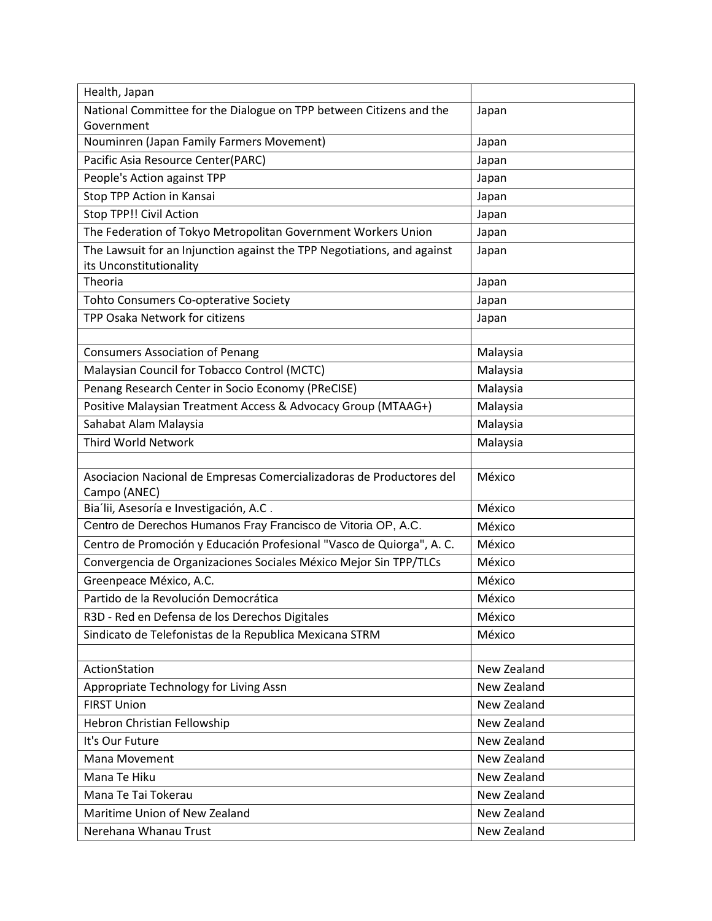| Health, Japan                                                                        |             |
|--------------------------------------------------------------------------------------|-------------|
| National Committee for the Dialogue on TPP between Citizens and the                  | Japan       |
| Government                                                                           |             |
| Nouminren (Japan Family Farmers Movement)                                            | Japan       |
| Pacific Asia Resource Center(PARC)                                                   | Japan       |
| People's Action against TPP                                                          | Japan       |
| Stop TPP Action in Kansai                                                            | Japan       |
| Stop TPP!! Civil Action                                                              | Japan       |
| The Federation of Tokyo Metropolitan Government Workers Union                        | Japan       |
| The Lawsuit for an Injunction against the TPP Negotiations, and against              | Japan       |
| its Unconstitutionality                                                              |             |
| Theoria                                                                              | Japan       |
| Tohto Consumers Co-opterative Society                                                | Japan       |
| TPP Osaka Network for citizens                                                       | Japan       |
|                                                                                      |             |
| <b>Consumers Association of Penang</b>                                               | Malaysia    |
| Malaysian Council for Tobacco Control (MCTC)                                         | Malaysia    |
| Penang Research Center in Socio Economy (PReCISE)                                    | Malaysia    |
| Positive Malaysian Treatment Access & Advocacy Group (MTAAG+)                        | Malaysia    |
| Sahabat Alam Malaysia                                                                | Malaysia    |
| Third World Network                                                                  | Malaysia    |
|                                                                                      |             |
| Asociacion Nacional de Empresas Comercializadoras de Productores del<br>Campo (ANEC) | México      |
| Bia'lii, Asesoría e Investigación, A.C.                                              | México      |
| Centro de Derechos Humanos Fray Francisco de Vitoria OP, A.C.                        | México      |
| Centro de Promoción y Educación Profesional "Vasco de Quiorga", A. C.                | México      |
| Convergencia de Organizaciones Sociales México Mejor Sin TPP/TLCs                    | México      |
| Greenpeace México, A.C.                                                              | México      |
| Partido de la Revolución Democrática                                                 | México      |
| R3D - Red en Defensa de los Derechos Digitales                                       | México      |
| Sindicato de Telefonistas de la Republica Mexicana STRM                              | México      |
|                                                                                      |             |
| ActionStation                                                                        | New Zealand |
| Appropriate Technology for Living Assn                                               | New Zealand |
| <b>FIRST Union</b>                                                                   | New Zealand |
| Hebron Christian Fellowship                                                          | New Zealand |
| It's Our Future                                                                      | New Zealand |
| Mana Movement                                                                        | New Zealand |
| Mana Te Hiku                                                                         | New Zealand |
| Mana Te Tai Tokerau                                                                  | New Zealand |
| Maritime Union of New Zealand                                                        | New Zealand |
| Nerehana Whanau Trust                                                                | New Zealand |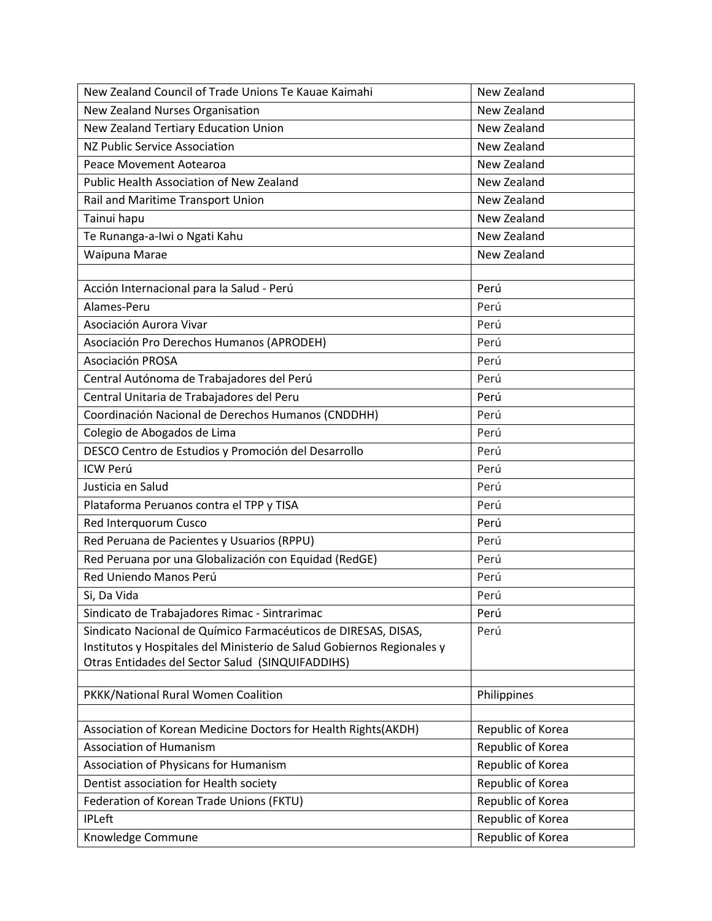| New Zealand Council of Trade Unions Te Kauae Kaimahi                   | New Zealand       |
|------------------------------------------------------------------------|-------------------|
| New Zealand Nurses Organisation                                        | New Zealand       |
| New Zealand Tertiary Education Union                                   | New Zealand       |
| NZ Public Service Association                                          | New Zealand       |
| Peace Movement Aotearoa                                                | New Zealand       |
| <b>Public Health Association of New Zealand</b>                        | New Zealand       |
| Rail and Maritime Transport Union                                      | New Zealand       |
| Tainui hapu                                                            | New Zealand       |
| Te Runanga-a-Iwi o Ngati Kahu                                          | New Zealand       |
| Waipuna Marae                                                          | New Zealand       |
|                                                                        |                   |
| Acción Internacional para la Salud - Perú                              | Perú              |
| Alames-Peru                                                            | Perú              |
| Asociación Aurora Vivar                                                | Perú              |
| Asociación Pro Derechos Humanos (APRODEH)                              | Perú              |
| Asociación PROSA                                                       | Perú              |
| Central Autónoma de Trabajadores del Perú                              | Perú              |
| Central Unitaria de Trabajadores del Peru                              | Perú              |
| Coordinación Nacional de Derechos Humanos (CNDDHH)                     | Perú              |
| Colegio de Abogados de Lima                                            | Perú              |
| DESCO Centro de Estudios y Promoción del Desarrollo                    | Perú              |
| ICW Perú                                                               | Perú              |
| Justicia en Salud                                                      | Perú              |
| Plataforma Peruanos contra el TPP y TISA                               | Perú              |
| Red Interquorum Cusco                                                  | Perú              |
| Red Peruana de Pacientes y Usuarios (RPPU)                             | Perú              |
| Red Peruana por una Globalización con Equidad (RedGE)                  | Perú              |
| Red Uniendo Manos Perú                                                 | Perú              |
| Si, Da Vida                                                            | Perú              |
| Sindicato de Trabajadores Rimac - Sintrarimac                          | Perú              |
| Sindicato Nacional de Químico Farmacéuticos de DIRESAS, DISAS,         | Perú              |
| Institutos y Hospitales del Ministerio de Salud Gobiernos Regionales y |                   |
| Otras Entidades del Sector Salud (SINQUIFADDIHS)                       |                   |
| PKKK/National Rural Women Coalition                                    | Philippines       |
|                                                                        |                   |
| Association of Korean Medicine Doctors for Health Rights(AKDH)         | Republic of Korea |
| <b>Association of Humanism</b>                                         | Republic of Korea |
| Association of Physicans for Humanism                                  | Republic of Korea |
| Dentist association for Health society                                 | Republic of Korea |
| Federation of Korean Trade Unions (FKTU)                               | Republic of Korea |
| <b>IPLeft</b>                                                          | Republic of Korea |
| Knowledge Commune                                                      | Republic of Korea |